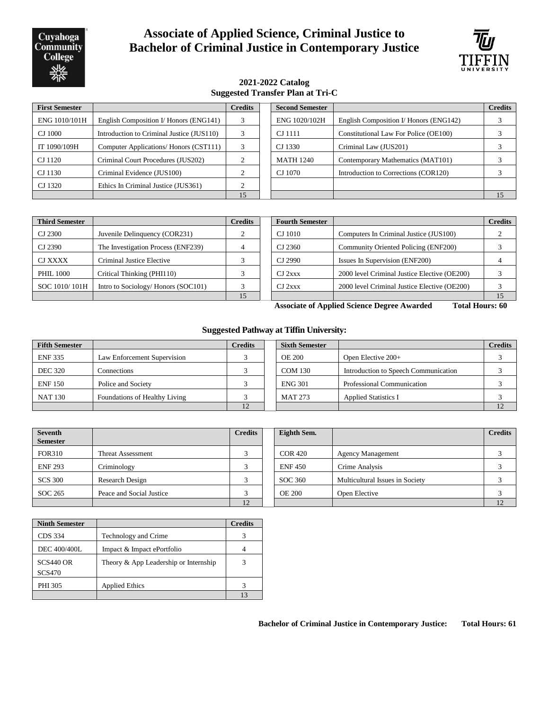Cuyahoga Community **College** 

# **Associate of Applied Science, Criminal Justice to Bachelor of Criminal Justice in Contemporary Justice**



#### **2021-2022 Catalog Suggested Transfer Plan at Tri-C**

| <b>First Semester</b> |                                           | <b>Credits</b>         | <b>Second Semester</b> |                                        | <b>Credits</b> |
|-----------------------|-------------------------------------------|------------------------|------------------------|----------------------------------------|----------------|
| ENG 1010/101H         | English Composition I/ Honors (ENG141)    | 3                      | ENG 1020/102H          | English Composition I/ Honors (ENG142) |                |
| CJ 1000               | Introduction to Criminal Justice (JUS110) | 3                      | CJ 1111                | Constitutional Law For Police (OE100)  |                |
| IT 1090/109H          | Computer Applications/ Honors (CST111)    | $\mathbf{\mathcal{R}}$ | CJ 1330                | Criminal Law (JUS201)                  |                |
| CJ 1120               | Criminal Court Procedures (JUS202)        |                        | <b>MATH 1240</b>       | Contemporary Mathematics (MAT101)      |                |
| CJ 1130               | Criminal Evidence (JUS100)                |                        | CJ 1070                | Introduction to Corrections (COR120)   |                |
| CJ 1320               | Ethics In Criminal Justice (JUS361)       |                        |                        |                                        |                |
|                       |                                           | 15                     |                        |                                        | 15             |

| <b>Third Semester</b> |                                    | <b>Credits</b> | <b>Fourth Semester</b> |                                              | <b>Credits</b> |
|-----------------------|------------------------------------|----------------|------------------------|----------------------------------------------|----------------|
| CJ 2300               | Juvenile Delinquency (COR231)      |                | CJ 1010                | Computers In Criminal Justice (JUS100)       |                |
| CJ 2390               | The Investigation Process (ENF239) |                | CJ 2360                | Community Oriented Policing (ENF200)         |                |
| CJ XXXX               | Criminal Justice Elective          |                | CJ 2990                | Issues In Supervision (ENF200)               |                |
| <b>PHIL 1000</b>      | Critical Thinking (PHI110)         |                | $CJ$ 2xxx              | 2000 level Criminal Justice Elective (OE200) |                |
| SOC 1010/101H         | Intro to Sociology/Honors (SOC101) |                | $CJ$ 2xxx              | 2000 level Criminal Justice Elective (OE200) |                |
|                       |                                    | 15             |                        |                                              |                |

**Associate of Applied Science Degree Awarded Total Hours: 60**

#### **Suggested Pathway at Tiffin University:**

| <b>Fifth Semester</b> |                               | <b>Credits</b> | <b>Sixth Semester</b> |                                      | <b>Credits</b> |
|-----------------------|-------------------------------|----------------|-----------------------|--------------------------------------|----------------|
| <b>ENF335</b>         | Law Enforcement Supervision   |                | <b>OE 200</b>         | Open Elective $200+$                 |                |
| <b>DEC 320</b>        | Connections                   |                | <b>COM 130</b>        | Introduction to Speech Communication |                |
| <b>ENF150</b>         | Police and Society            |                | <b>ENG 301</b>        | <b>Professional Communication</b>    |                |
| <b>NAT 130</b>        | Foundations of Healthy Living |                | <b>MAT 273</b>        | <b>Applied Statistics I</b>          |                |
|                       |                               |                |                       |                                      | 12             |

| <b>Seventh</b><br><b>Semester</b> |                          | <b>Credits</b> | Eighth Sem.    |                                 | <b>Credits</b> |
|-----------------------------------|--------------------------|----------------|----------------|---------------------------------|----------------|
| <b>FOR310</b>                     | Threat Assessment        |                | <b>COR 420</b> | <b>Agency Management</b>        |                |
| <b>ENF 293</b>                    | Criminology              |                | <b>ENF450</b>  | Crime Analysis                  |                |
| <b>SCS 300</b>                    | Research Design          |                | SOC 360        | Multicultural Issues in Society |                |
| SOC 265                           | Peace and Social Justice |                | <b>OE 200</b>  | Open Elective                   |                |
|                                   |                          | 12             |                |                                 |                |

| <b>Ninth Semester</b>        |                                       | <b>Credits</b> |
|------------------------------|---------------------------------------|----------------|
| CDS 334                      | Technology and Crime                  |                |
| <b>DEC 400/400L</b>          | Impact & Impact ePortfolio            |                |
| $SCS440$ OR<br><b>SCS470</b> | Theory & App Leadership or Internship | 3              |
| PHI 305                      | <b>Applied Ethics</b>                 |                |
|                              |                                       | 13             |